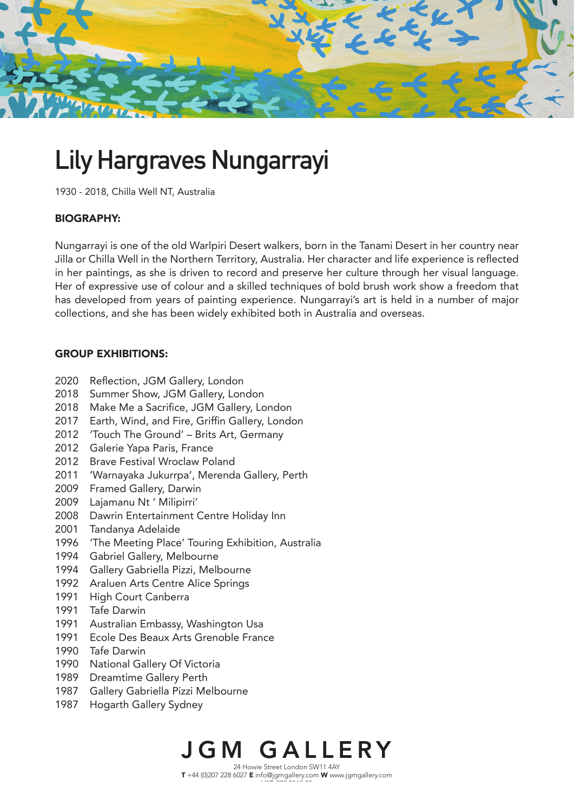

# **Lily Hargraves Nungarrayi**

1930 - 2018, Chilla Well NT, Australia

### BIOGRAPHY:

Nungarrayi is one of the old Warlpiri Desert walkers, born in the Tanami Desert in her country near Jilla or Chilla Well in the Northern Territory, Australia. Her character and life experience is reflected in her paintings, as she is driven to record and preserve her culture through her visual language. Her of expressive use of colour and a skilled techniques of bold brush work show a freedom that has developed from years of painting experience. Nungarrayi's art is held in a number of major collections, and she has been widely exhibited both in Australia and overseas.

### GROUP EXHIBITIONS:

- 2020 Reflection, JGM Gallery, London
- 2018 Summer Show, JGM Gallery, London
- 2018 Make Me a Sacrifice, JGM Gallery, London
- 2017 Earth, Wind, and Fire, Griffin Gallery, London
- 2012 'Touch The Ground' Brits Art, Germany
- 2012 Galerie Yapa Paris, France
- 2012 Brave Festival Wroclaw Poland
- 2011 'Warnayaka Jukurrpa', Merenda Gallery, Perth
- 2009 Framed Gallery, Darwin
- 2009 Lajamanu Nt ' Milipirri'
- 2008 Dawrin Entertainment Centre Holiday Inn
- 2001 Tandanya Adelaide
- 1996 'The Meeting Place' Touring Exhibition, Australia
- 1994 Gabriel Gallery, Melbourne
- 1994 Gallery Gabriella Pizzi, Melbourne
- 1992 Araluen Arts Centre Alice Springs
- 1991 High Court Canberra
- 1991 Tafe Darwin
- 1991 Australian Embassy, Washington Usa
- 1991 Ecole Des Beaux Arts Grenoble France
- 1990 Tafe Darwin
- 1990 National Gallery Of Victoria
- 1989 Dreamtime Gallery Perth
- 1987 Gallery Gabriella Pizzi Melbourne
- 1987 Hogarth Gallery Sydney